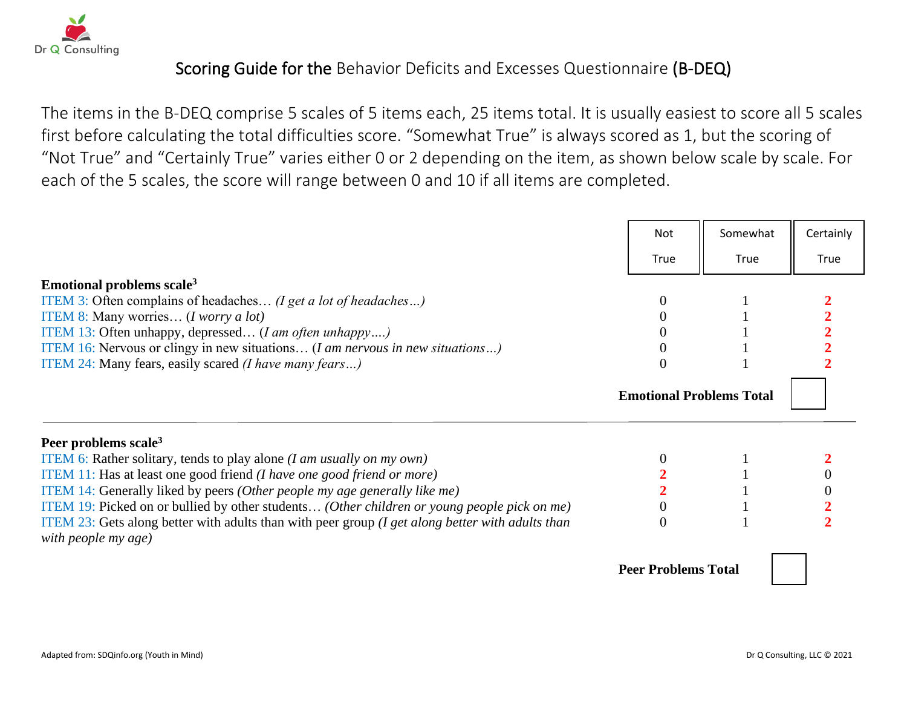

## Scoring Guide for the Behavior Deficits and Excesses Questionnaire (B-DEQ)

The items in the B-DEQ comprise 5 scales of 5 items each, 25 items total. It is usually easiest to score all 5 scales first before calculating the total difficulties score. "Somewhat True" is always scored as 1, but the scoring of "Not True" and "Certainly True" varies either 0 or 2 depending on the item, as shown below scale by scale. For each of the 5 scales, the score will range between 0 and 10 if all items are completed.

|                                                                                                                            | <b>Not</b>                      | Somewhat | Certainly |
|----------------------------------------------------------------------------------------------------------------------------|---------------------------------|----------|-----------|
|                                                                                                                            | True                            | True     | True      |
| Emotional problems scale <sup>3</sup>                                                                                      |                                 |          |           |
| ITEM 3: Often complains of headaches (I get a lot of headaches)                                                            | $\Omega$                        |          |           |
| ITEM 8: Many worries (I worry a lot)                                                                                       |                                 |          |           |
| ITEM 13: Often unhappy, depressed ( <i>I am often unhappy</i> )                                                            |                                 |          |           |
| <b>ITEM 16:</b> Nervous or clingy in new situations ( <i>I am nervous in new situations</i> )                              |                                 |          |           |
| ITEM 24: Many fears, easily scared (I have many fears)                                                                     | $\theta$                        |          |           |
|                                                                                                                            | <b>Emotional Problems Total</b> |          |           |
| Peer problems scale <sup>3</sup>                                                                                           |                                 |          |           |
| <b>ITEM 6:</b> Rather solitary, tends to play alone <i>(I am usually on my own)</i>                                        |                                 |          |           |
| ITEM 11: Has at least one good friend (I have one good friend or more)                                                     |                                 |          |           |
| ITEM 14: Generally liked by peers (Other people my age generally like me)                                                  |                                 |          |           |
| ITEM 19: Picked on or bullied by other students (Other children or young people pick on me)                                |                                 |          |           |
| ITEM 23: Gets along better with adults than with peer group ( $I$ get along better with adults than<br>with people my age) | $\Omega$                        |          |           |
|                                                                                                                            | <b>Peer Problems Total</b>      |          |           |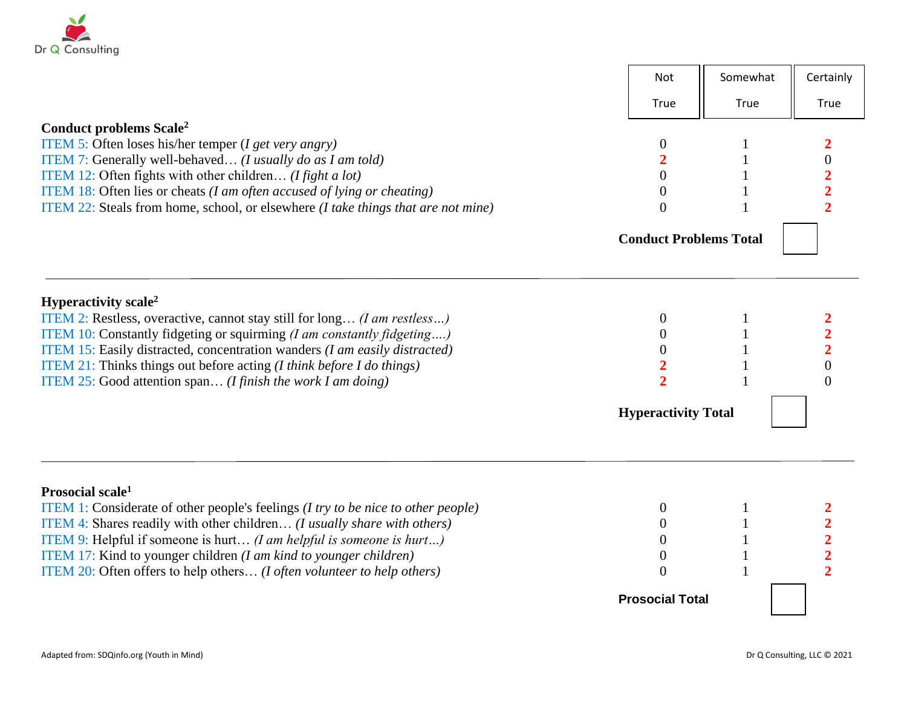

|                                                                                                                                                                                | Not                              | Somewhat | Certainly               |
|--------------------------------------------------------------------------------------------------------------------------------------------------------------------------------|----------------------------------|----------|-------------------------|
|                                                                                                                                                                                | True                             | True     | True                    |
| Conduct problems Scale <sup>2</sup>                                                                                                                                            |                                  |          |                         |
| ITEM 5: Often loses his/her temper ( $I get very\ any)$ )                                                                                                                      | $\theta$                         |          |                         |
| ITEM 7: Generally well-behaved (I usually do as I am told)                                                                                                                     |                                  |          | $\mathbf{0}$            |
| ITEM 12: Often fights with other children ( <i>I fight a lot</i> )                                                                                                             | $\boldsymbol{0}$                 |          |                         |
| ITEM 18: Often lies or cheats ( <i>I am often accused of lying or cheating</i> )<br>ITEM 22: Steals from home, school, or elsewhere ( <i>I take things that are not mine</i> ) | $\overline{0}$<br>$\Omega$       |          |                         |
|                                                                                                                                                                                |                                  |          |                         |
|                                                                                                                                                                                | <b>Conduct Problems Total</b>    |          |                         |
| Hyperactivity scale <sup>2</sup>                                                                                                                                               |                                  |          |                         |
| ITEM 2: Restless, overactive, cannot stay still for long <i>(I am restless)</i>                                                                                                | $\theta$                         |          |                         |
| ITEM 10: Constantly fidgeting or squirming (I am constantly fidgeting)                                                                                                         | $\theta$                         |          |                         |
| ITEM 15: Easily distracted, concentration wanders (I am easily distracted)                                                                                                     | $\theta$                         |          | $\overline{2}$          |
| ITEM 21: Thinks things out before acting $(I \text{ think before } I \text{ do things})$                                                                                       |                                  |          | 0                       |
| ITEM 25: Good attention span ( <i>I finish the work I am doing</i> )                                                                                                           | $\overline{2}$                   |          | $\Omega$                |
|                                                                                                                                                                                | <b>Hyperactivity Total</b>       |          |                         |
|                                                                                                                                                                                |                                  |          |                         |
| Prosocial scale <sup>1</sup>                                                                                                                                                   |                                  |          |                         |
| <b>ITEM 1:</b> Considerate of other people's feelings ( <i>I try to be nice to other people</i> )                                                                              | $\theta$                         |          |                         |
| ITEM 4: Shares readily with other children (I usually share with others)                                                                                                       | $\theta$                         |          | $\overline{\mathbf{2}}$ |
| ITEM 9: Helpful if someone is hurt <i>(I am helpful is someone is hurt)</i>                                                                                                    | $\overline{0}$<br>$\overline{0}$ |          |                         |
| ITEM 17: Kind to younger children (I am kind to younger children)<br>ITEM 20: Often offers to help others ( <i>I often volunteer to help others</i> )                          | $\Omega$                         |          |                         |
|                                                                                                                                                                                |                                  |          |                         |
|                                                                                                                                                                                | <b>Prosocial Total</b>           |          |                         |